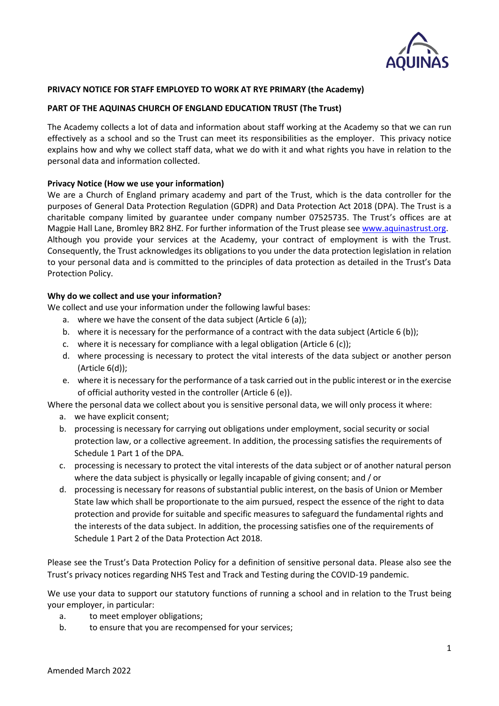

## **PRIVACY NOTICE FOR STAFF EMPLOYED TO WORK AT RYE PRIMARY (the Academy)**

### **PART OF THE AQUINAS CHURCH OF ENGLAND EDUCATION TRUST (The Trust)**

The Academy collects a lot of data and information about staff working at the Academy so that we can run effectively as a school and so the Trust can meet its responsibilities as the employer. This privacy notice explains how and why we collect staff data, what we do with it and what rights you have in relation to the personal data and information collected.

### **Privacy Notice (How we use your information)**

We are a Church of England primary academy and part of the Trust, which is the data controller for the purposes of General Data Protection Regulation (GDPR) and Data Protection Act 2018 (DPA). The Trust is a charitable company limited by guarantee under company number 07525735. The Trust's offices are at Magpie Hall Lane, Bromley BR2 8HZ. For further information of the Trust please see [www.aquinastrust.org.](http://www.aquinastrust.org/) Although you provide your services at the Academy, your contract of employment is with the Trust. Consequently, the Trust acknowledges its obligations to you under the data protection legislation in relation to your personal data and is committed to the principles of data protection as detailed in the Trust's Data Protection Policy.

### **Why do we collect and use your information?**

We collect and use your information under the following lawful bases:

- a. where we have the consent of the data subject (Article 6 (a));
- b. where it is necessary for the performance of a contract with the data subject (Article 6 (b));
- c. where it is necessary for compliance with a legal obligation (Article 6 (c));
- d. where processing is necessary to protect the vital interests of the data subject or another person (Article 6(d));
- e. where it is necessary for the performance of a task carried out in the public interest or in the exercise of official authority vested in the controller (Article 6 (e)).

Where the personal data we collect about you is sensitive personal data, we will only process it where:

- a. we have explicit consent;
- b. processing is necessary for carrying out obligations under employment, social security or social protection law, or a collective agreement. In addition, the processing satisfies the requirements of Schedule 1 Part 1 of the DPA.
- c. processing is necessary to protect the vital interests of the data subject or of another natural person where the data subject is physically or legally incapable of giving consent; and / or
- d. processing is necessary for reasons of substantial public interest, on the basis of Union or Member State law which shall be proportionate to the aim pursued, respect the essence of the right to data protection and provide for suitable and specific measures to safeguard the fundamental rights and the interests of the data subject. In addition, the processing satisfies one of the requirements of Schedule 1 Part 2 of the Data Protection Act 2018.

Please see the Trust's Data Protection Policy for a definition of sensitive personal data. Please also see the Trust's privacy notices regarding NHS Test and Track and Testing during the COVID-19 pandemic.

We use your data to support our statutory functions of running a school and in relation to the Trust being your employer, in particular:

- a. to meet employer obligations;
- b. to ensure that you are recompensed for your services;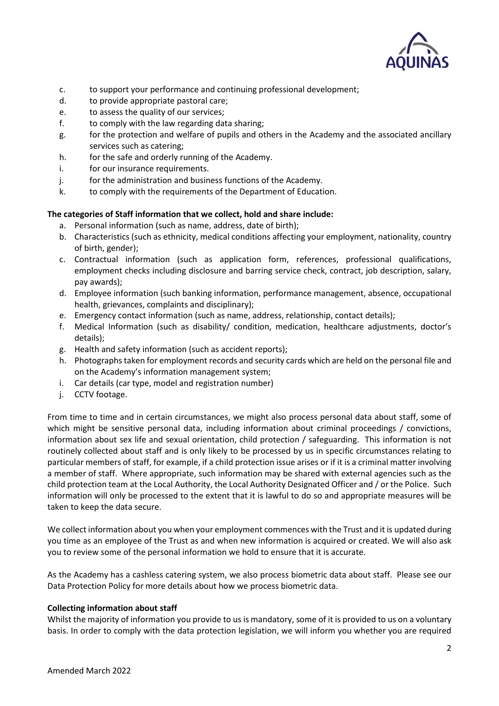

- c. to support your performance and continuing professional development;
- d. to provide appropriate pastoral care;
- e. to assess the quality of our services;
- f. to comply with the law regarding data sharing;
- g. for the protection and welfare of pupils and others in the Academy and the associated ancillary services such as catering;
- h. for the safe and orderly running of the Academy.
- i. for our insurance requirements.
- j. for the administration and business functions of the Academy.
- k. to comply with the requirements of the Department of Education.

# **The categories of Staff information that we collect, hold and share include:**

- a. Personal information (such as name, address, date of birth);
- b. Characteristics (such as ethnicity, medical conditions affecting your employment, nationality, country of birth, gender);
- c. Contractual information (such as application form, references, professional qualifications, employment checks including disclosure and barring service check, contract, job description, salary, pay awards);
- d. Employee information (such banking information, performance management, absence, occupational health, grievances, complaints and disciplinary);
- e. Emergency contact information (such as name, address, relationship, contact details);
- f. Medical Information (such as disability/ condition, medication, healthcare adjustments, doctor's details);
- g. Health and safety information (such as accident reports);
- h. Photographs taken for employment records and security cards which are held on the personal file and on the Academy's information management system;
- i. Car details (car type, model and registration number)
- j. CCTV footage.

From time to time and in certain circumstances, we might also process personal data about staff, some of which might be sensitive personal data, including information about criminal proceedings / convictions, information about sex life and sexual orientation, child protection / safeguarding. This information is not routinely collected about staff and is only likely to be processed by us in specific circumstances relating to particular members of staff, for example, if a child protection issue arises or if it is a criminal matter involving a member of staff. Where appropriate, such information may be shared with external agencies such as the child protection team at the Local Authority, the Local Authority Designated Officer and / or the Police. Such information will only be processed to the extent that it is lawful to do so and appropriate measures will be taken to keep the data secure.

We collect information about you when your employment commences with the Trust and it is updated during you time as an employee of the Trust as and when new information is acquired or created. We will also ask you to review some of the personal information we hold to ensure that it is accurate.

As the Academy has a cashless catering system, we also process biometric data about staff. Please see our Data Protection Policy for more details about how we process biometric data.

## **Collecting information about staff**

Whilst the majority of information you provide to us is mandatory, some of it is provided to us on a voluntary basis. In order to comply with the data protection legislation, we will inform you whether you are required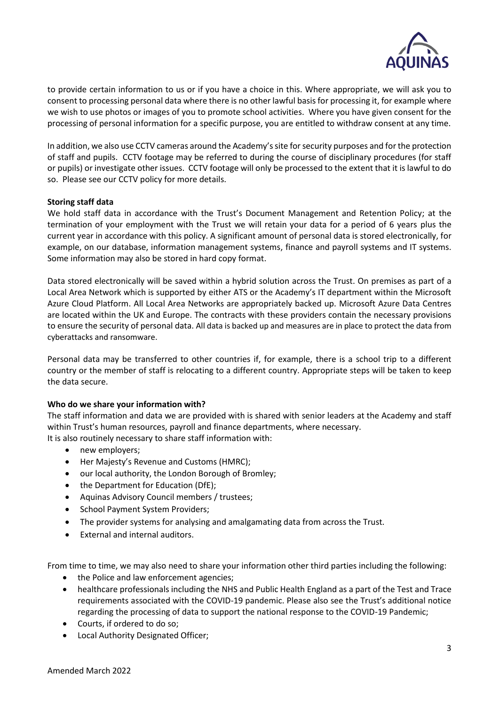

to provide certain information to us or if you have a choice in this. Where appropriate, we will ask you to consent to processing personal data where there is no other lawful basis for processing it, for example where we wish to use photos or images of you to promote school activities. Where you have given consent for the processing of personal information for a specific purpose, you are entitled to withdraw consent at any time.

In addition, we also use CCTV cameras around the Academy's site for security purposes and for the protection of staff and pupils. CCTV footage may be referred to during the course of disciplinary procedures (for staff or pupils) or investigate other issues. CCTV footage will only be processed to the extent that it is lawful to do so. Please see our CCTV policy for more details.

## **Storing staff data**

We hold staff data in accordance with the Trust's Document Management and Retention Policy; at the termination of your employment with the Trust we will retain your data for a period of 6 years plus the current year in accordance with this policy. A significant amount of personal data is stored electronically, for example, on our database, information management systems, finance and payroll systems and IT systems. Some information may also be stored in hard copy format.

Data stored electronically will be saved within a hybrid solution across the Trust. On premises as part of a Local Area Network which is supported by either ATS or the Academy's IT department within the Microsoft Azure Cloud Platform. All Local Area Networks are appropriately backed up. Microsoft Azure Data Centres are located within the UK and Europe. The contracts with these providers contain the necessary provisions to ensure the security of personal data. All data is backed up and measures are in place to protect the data from cyberattacks and ransomware.

Personal data may be transferred to other countries if, for example, there is a school trip to a different country or the member of staff is relocating to a different country. Appropriate steps will be taken to keep the data secure.

## **Who do we share your information with?**

The staff information and data we are provided with is shared with senior leaders at the Academy and staff within Trust's human resources, payroll and finance departments, where necessary. It is also routinely necessary to share staff information with:

- new employers;
- Her Majesty's Revenue and Customs (HMRC);
- our local authority, the London Borough of Bromley;
- the Department for Education (DfE):
- Aquinas Advisory Council members / trustees;
- School Payment System Providers;
- The provider systems for analysing and amalgamating data from across the Trust.
- External and internal auditors.

From time to time, we may also need to share your information other third parties including the following:

- the Police and law enforcement agencies;
- healthcare professionals including the NHS and Public Health England as a part of the Test and Trace requirements associated with the COVID-19 pandemic. Please also see the Trust's additional notice regarding the processing of data to support the national response to the COVID-19 Pandemic;
- Courts, if ordered to do so;
- Local Authority Designated Officer;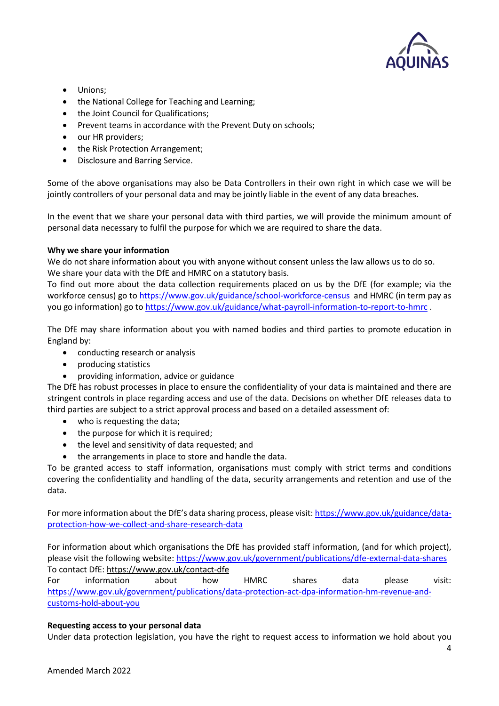

- Unions;
- the National College for Teaching and Learning;
- the Joint Council for Qualifications;
- Prevent teams in accordance with the Prevent Duty on schools;
- our HR providers;
- the Risk Protection Arrangement;
- Disclosure and Barring Service.

Some of the above organisations may also be Data Controllers in their own right in which case we will be jointly controllers of your personal data and may be jointly liable in the event of any data breaches.

In the event that we share your personal data with third parties, we will provide the minimum amount of personal data necessary to fulfil the purpose for which we are required to share the data.

## **Why we share your information**

We do not share information about you with anyone without consent unless the law allows us to do so. We share your data with the DfE and HMRC on a statutory basis.

To find out more about the data collection requirements placed on us by the DfE (for example; via the workforce census) go to<https://www.gov.uk/guidance/school-workforce-census>and HMRC (in term pay as you go information) go t[o https://www.gov.uk/guidance/what-payroll-information-to-report-to-hmrc](https://www.gov.uk/guidance/what-payroll-information-to-report-to-hmrc) .

The DfE may share information about you with named bodies and third parties to promote education in England by:

- conducting research or analysis
- producing statistics
- providing information, advice or guidance

The DfE has robust processes in place to ensure the confidentiality of your data is maintained and there are stringent controls in place regarding access and use of the data. Decisions on whether DfE releases data to third parties are subject to a strict approval process and based on a detailed assessment of:

- who is requesting the data;
- the purpose for which it is required;
- the level and sensitivity of data requested; and
- the arrangements in place to store and handle the data.

To be granted access to staff information, organisations must comply with strict terms and conditions covering the confidentiality and handling of the data, security arrangements and retention and use of the data.

For more information about the DfE's data sharing process, please visit: [https://www.gov.uk/guidance/data](https://www.gov.uk/guidance/data-protection-how-we-collect-and-share-research-data)[protection-how-we-collect-and-share-research-data](https://www.gov.uk/guidance/data-protection-how-we-collect-and-share-research-data)

For information about which organisations the DfE has provided staff information, (and for which project), please visit the following website:<https://www.gov.uk/government/publications/dfe-external-data-shares> To contact DfE:<https://www.gov.uk/contact-dfe>

For information about how HMRC shares data please visit: [https://www.gov.uk/government/publications/data-protection-act-dpa-information-hm-revenue-and](https://www.gov.uk/government/publications/data-protection-act-dpa-information-hm-revenue-and-customs-hold-about-you)[customs-hold-about-you](https://www.gov.uk/government/publications/data-protection-act-dpa-information-hm-revenue-and-customs-hold-about-you)

## **Requesting access to your personal data**

Under data protection legislation, you have the right to request access to information we hold about you